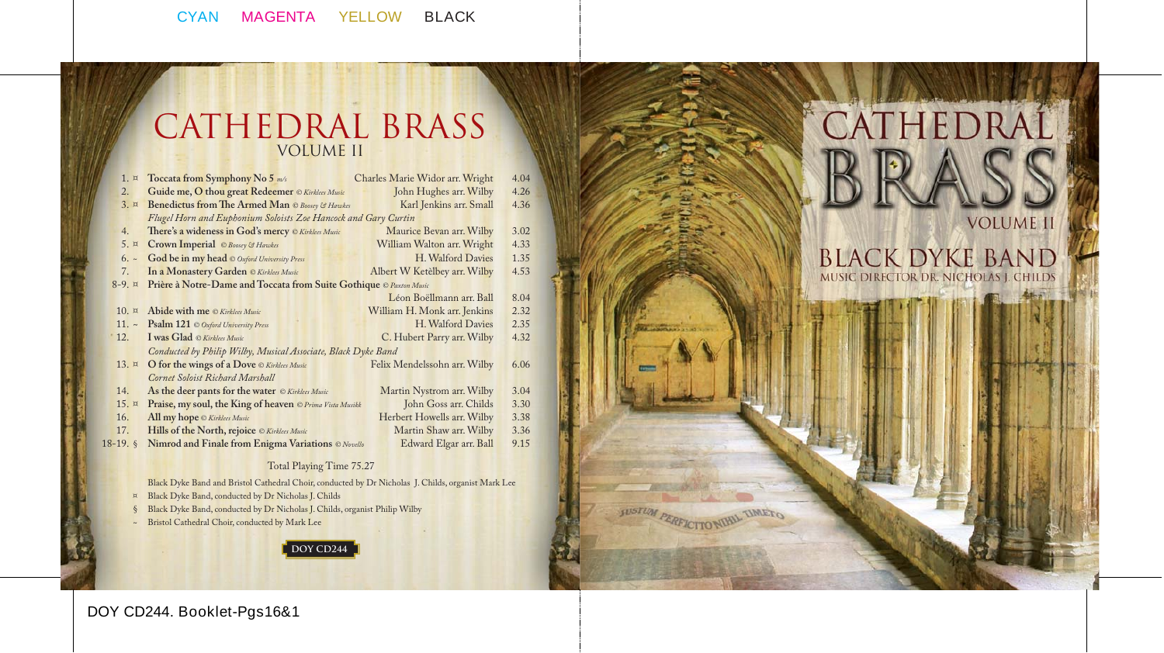# CATHEDRAL BRASS VOLUME II

|                                                                                | 1. x        | Toccata from Symphony No 5 $m/s$                               | Charles Marie Widor arr. Wright | 4.04 |
|--------------------------------------------------------------------------------|-------------|----------------------------------------------------------------|---------------------------------|------|
| 2.                                                                             |             | Guide me, O thou great Redeemer © Kirklees Music               | John Hughes arr. Wilby          | 4.26 |
|                                                                                | $3. \times$ | Benedictus from The Armed Man © Boosey & Hawkes                | Karl Jenkins arr. Small         | 4.36 |
|                                                                                |             | Flugel Horn and Euphonium Soloists Zoe Hancock and Gary Curtin |                                 |      |
| 4.                                                                             |             | There's a wideness in God's mercy © Kirklees Music             | Maurice Bevan arr. Wilby        | 3.02 |
|                                                                                | 5. x        | Crown Imperial © Boosey & Hawkes                               | William Walton arr. Wright      | 4.33 |
|                                                                                | $6.~\sim$   | God be in my head © Oxford University Press                    | H. Walford Davies               | 1.35 |
| 7.                                                                             |             | In a Monastery Garden © Kirklees Music                         | Albert W Ketèlbey arr. Wilby    | 4.53 |
| Prière à Notre-Dame and Toccata from Suite Gothique © Paxton Music<br>$8-9. x$ |             |                                                                |                                 |      |
|                                                                                |             |                                                                | Léon Boëllmann arr. Ball        | 8.04 |
| 10. x                                                                          |             | Abide with me © Kirklees Music                                 | William H. Monk arr. Jenkins    | 2.32 |
| $11.~\sim$                                                                     |             | Psalm 121 © Oxford University Press                            | H. Walford Davies               | 2.35 |
| 12.                                                                            |             | I was Glad © Kirklees Music                                    | C. Hubert Parry arr. Wilby      | 4.32 |
|                                                                                |             | Conducted by Philip Wilby, Musical Associate, Black Dyke Band  |                                 |      |
| 13. $\alpha$                                                                   |             | O for the wings of a Dove © Kirklees Music                     | Felix Mendelssohn arr. Wilby    | 6.06 |
|                                                                                |             | Cornet Soloist Richard Marshall                                |                                 |      |
| 14.                                                                            |             | As the deer pants for the water © Kirklees Music               | Martin Nystrom arr. Wilby       | 3.04 |
| 15. x                                                                          |             | Praise, my soul, the King of heaven © Prima Vista Musikk       | John Goss arr. Childs           | 3.30 |
| 16.                                                                            |             | All my hope © Kirklees Music                                   | Herbert Howells arr. Wilby      | 3.38 |
| 17.                                                                            |             | Hills of the North, rejoice © Kirklees Music                   | Martin Shaw arr. Wilby          | 3.36 |
| $18-19.$ \$                                                                    |             | Nimrod and Finale from Enigma Variations © Novello             | Edward Elgar arr. Ball          | 9.15 |

#### Total Playing Time 75.27

Black Dyke Band and Bristol Cathedral Choir, conducted by Dr Nicholas J. Childs, organist Mark Lee

- ¤ Black Dyke Band, conducted by Dr Nicholas J. Childs
- Black Dyke Band, conducted by Dr Nicholas J. Childs, organist Philip Wilby
- ~ Bristol Cathedral Choir, conducted by Mark Lee



# **VOLUME 1**

CATHEDRAL

BLACK DYKE BAND

**SUSTIM PERFICITO NURL TIMETO** 

## **DOY CD244. Booklet-Pgs16&1**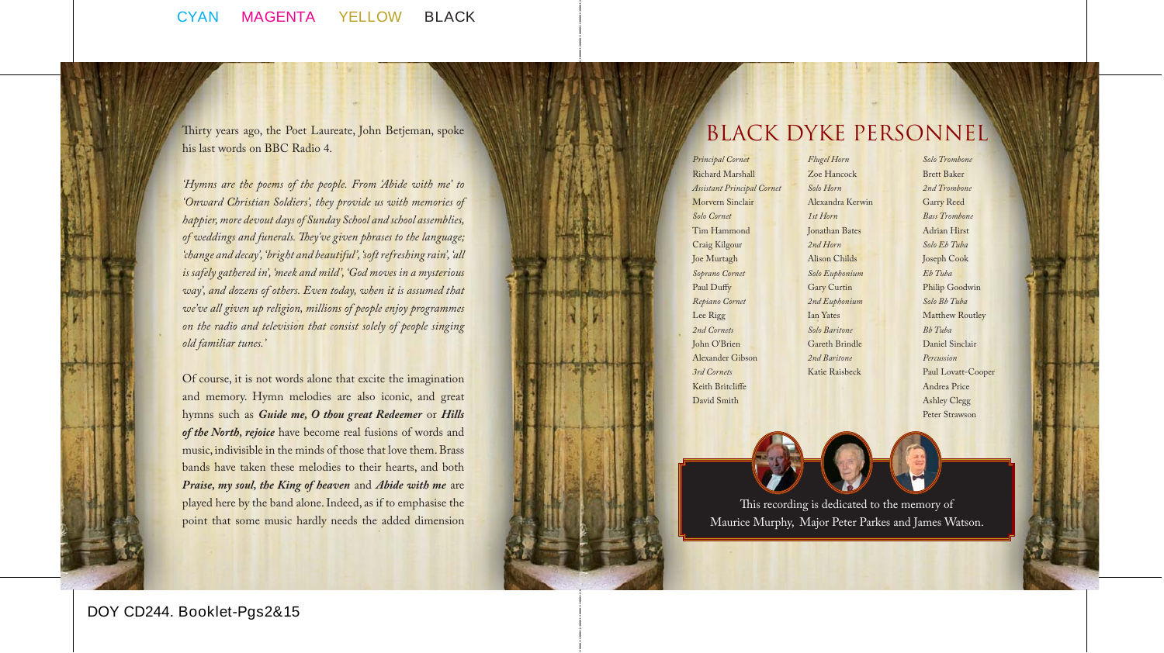Thirty years ago, the Poet Laureate, John Betjeman, spoke his last words on BBC Radio 4.

*'Hymns are the poems of the people. From 'Abide with me' to 'Onward Christian Soldiers', they provide us with memories of happier, more devout days of Sunday School and school assemblies,*  of weddings and funerals. They've given phrases to the language; *'change and decay', 'bright and beautiful', 'soft refreshing rain', 'all is safely gathered in', 'meek and mild', 'God moves in a mysterious way', and dozens of others. Even today, when it is assumed that we've all given up religion, millions of people enjoy programmes on the radio and television that consist solely of people singing old familiar tunes.'*

Of course, it is not words alone that excite the imagination and memory. Hymn melodies are also iconic, and great hymns such as *Guide me, O thou great Redeemer* or *Hills of the North, rejoice* have become real fusions of words and music, indivisible in the minds of those that love them. Brass bands have taken these melodies to their hearts, and both *Praise, my soul, the King of heaven* and *Abide with me* are played here by the band alone. Indeed, as if to emphasise the point that some music hardly needs the added dimension

## Black Dyke Personnel

*Principal Cornet*  Richard Marshall *Assistant Principal Cornet* Morvern Sinclair *Solo Cornet*  Tim Hammond Craig Kilgour Joe Murtagh *Soprano Cornet* Paul Duffy *Repiano Cornet* Lee Rigg *2nd Cornets*  John O'Brien Alexander Gibson *3rd Cornets* Keith Britcliffe David Smith

*Flugel Horn* Zoe Hancock *Solo Horn* Alexandra Kerwin *1st Horn* Jonathan Bates *2nd Horn* Alison Childs *Solo Euphonium* Gary Curtin *2nd Euphonium* Ian Yates *Solo Baritone*  Gareth Brindle *2nd Baritone* Katie Raisbeck

*Solo Trombone* Brett Baker *2nd Trombone* Garry Reed *Bass Trombone* Adrian Hirst *Solo Eb Tuba* Joseph Cook *Eb Tuba* Philip Goodwin *Solo Bb Tuba* Matthew Routley *Bb Tuba* Daniel Sinclair *Percussion* Paul Lovatt-Cooper Andrea Price Ashley Clegg Peter Strawson

This recording is dedicated to the memory of Maurice Murphy, Major Peter Parkes and James Watson.

**DOY CD244. Booklet-Pgs2&15**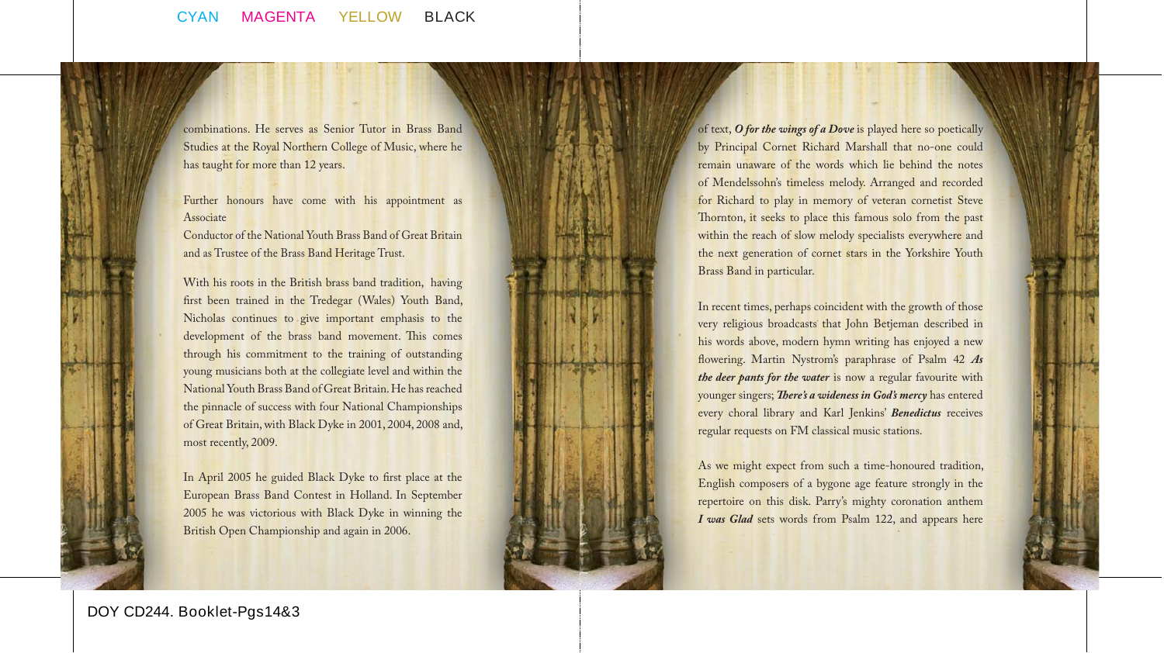combinations. He serves as Senior Tutor in Brass Band Studies at the Royal Northern College of Music, where he has taught for more than 12 years.

Further honours have come with his appointment as Associate

Conductor of the National Youth Brass Band of Great Britain and as Trustee of the Brass Band Heritage Trust.

With his roots in the British brass band tradition, having first been trained in the Tredegar (Wales) Youth Band, Nicholas continues to give important emphasis to the development of the brass band movement. This comes through his commitment to the training of outstanding young musicians both at the collegiate level and within the National Youth Brass Band of Great Britain. He has reached the pinnacle of success with four National Championships of Great Britain, with Black Dyke in 2001, 2004, 2008 and, most recently, 2009.

In April 2005 he guided Black Dyke to first place at the European Brass Band Contest in Holland. In September 2005 he was victorious with Black Dyke in winning the British Open Championship and again in 2006.

of text, *O for the wings of a Dove* is played here so poetically by Principal Cornet Richard Marshall that no-one could remain unaware of the words which lie behind the notes of Mendelssohn's timeless melody. Arranged and recorded for Richard to play in memory of veteran cornetist Steve Thornton, it seeks to place this famous solo from the past within the reach of slow melody specialists everywhere and the next generation of cornet stars in the Yorkshire Youth Brass Band in particular.

In recent times, perhaps coincident with the growth of those very religious broadcasts that John Betjeman described in his words above, modern hymn writing has enjoyed a new flowering. Martin Nystrom's paraphrase of Psalm 42 As *the deer pants for the water* is now a regular favourite with younger singers; *There's a wideness in God's mercy* has entered every choral library and Karl Jenkins' *Benedictus* receives regular requests on FM classical music stations.

As we might expect from such a time-honoured tradition, English composers of a bygone age feature strongly in the repertoire on this disk. Parry's mighty coronation anthem *I was Glad* sets words from Psalm 122, and appears here

**DOY CD244. Booklet-Pgs14&3**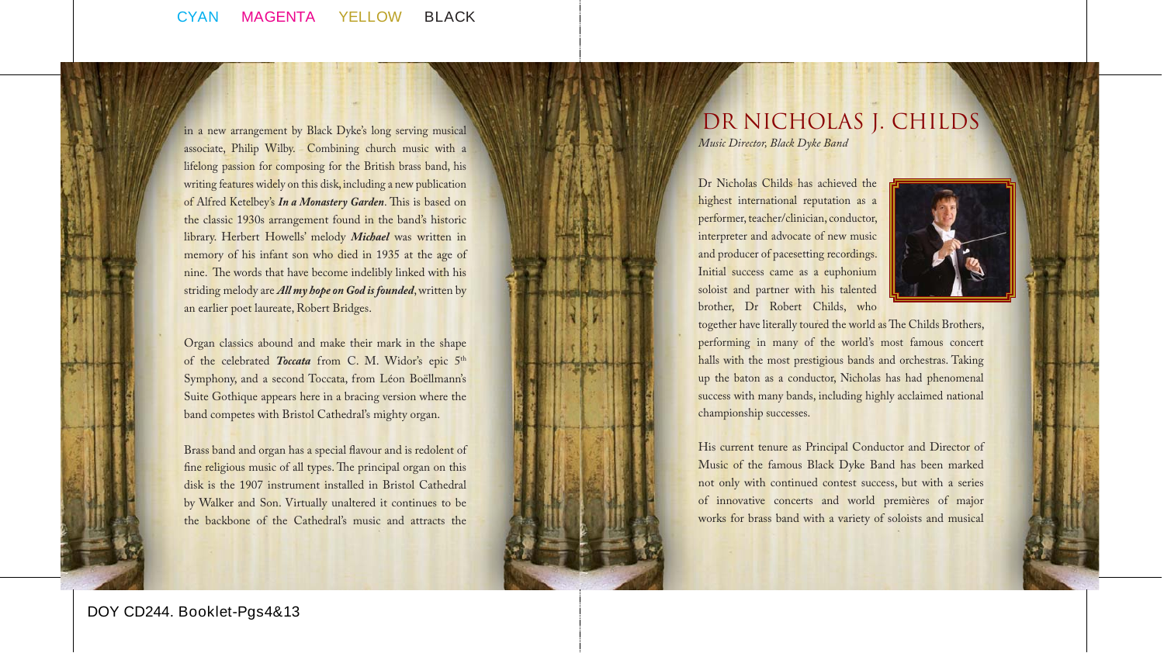

in a new arrangement by Black Dyke's long serving musical associate, Philip Wilby. Combining church music with a lifelong passion for composing for the British brass band, his writing features widely on this disk, including a new publication of Alfred Ketelbey's *In a Monastery Garden*. This is based on the classic 1930s arrangement found in the band's historic library. Herbert Howells' melody *Michael* was written in memory of his infant son who died in 1935 at the age of nine. The words that have become indelibly linked with his striding melody are *All my hope on God is founded*, written by an earlier poet laureate, Robert Bridges.

Organ classics abound and make their mark in the shape of the celebrated *Toccata* from C. M. Widor's epic 5<sup>th</sup> Symphony, and a second Toccata, from Léon Boëllmann's Suite Gothique appears here in a bracing version where the band competes with Bristol Cathedral's mighty organ.

Brass band and organ has a special flavour and is redolent of fine religious music of all types. The principal organ on this disk is the 1907 instrument installed in Bristol Cathedral by Walker and Son. Virtually unaltered it continues to be the backbone of the Cathedral's music and attracts the

# DR NICHOLAS J. CHILDS

*Music Director, Black Dyke Band*

Dr Nicholas Childs has achieved the highest international reputation as a performer, teacher/clinician, conductor, interpreter and advocate of new music and producer of pacesetting recordings. Initial success came as a euphonium soloist and partner with his talented brother, Dr Robert Childs, who



together have literally toured the world as The Childs Brothers, performing in many of the world's most famous concert halls with the most prestigious bands and orchestras. Taking up the baton as a conductor, Nicholas has had phenomenal success with many bands, including highly acclaimed national championship successes.

His current tenure as Principal Conductor and Director of Music of the famous Black Dyke Band has been marked not only with continued contest success, but with a series of innovative concerts and world premières of major works for brass band with a variety of soloists and musical

**DOY CD244. Booklet-Pgs4&13**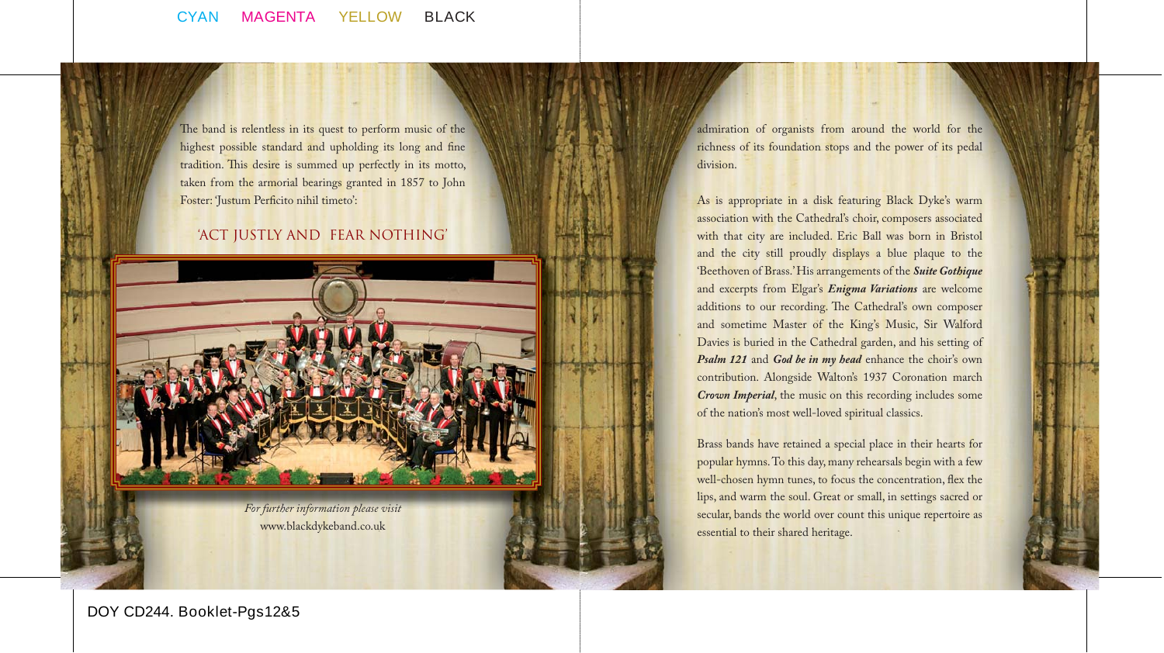The band is relentless in its quest to perform music of the highest possible standard and upholding its long and fine tradition. This desire is summed up perfectly in its motto, taken from the armorial bearings granted in 1857 to John Foster: 'Justum Perficito nihil timeto':

#### 'ACT JUSTLY AND FEAR NOTHING'



*For further information please visit*  www.blackdykeband.co.uk

admiration of organists from around the world for the richness of its foundation stops and the power of its pedal division.

As is appropriate in a disk featuring Black Dyke's warm association with the Cathedral's choir, composers associated with that city are included. Eric Ball was born in Bristol and the city still proudly displays a blue plaque to the 'Beethoven of Brass.' His arrangements of the *Suite Gothique* and excerpts from Elgar's *Enigma Variations* are welcome additions to our recording. The Cathedral's own composer and sometime Master of the King's Music, Sir Walford Davies is buried in the Cathedral garden, and his setting of *Psalm 121* and *God be in my head* enhance the choir's own contribution. Alongside Walton's 1937 Coronation march *Crown Imperial*, the music on this recording includes some of the nation's most well-loved spiritual classics.

Brass bands have retained a special place in their hearts for popular hymns. To this day, many rehearsals begin with a few well-chosen hymn tunes, to focus the concentration, flex the lips, and warm the soul. Great or small, in settings sacred or secular, bands the world over count this unique repertoire as essential to their shared heritage.

### **DOY CD244. Booklet-Pgs12&5**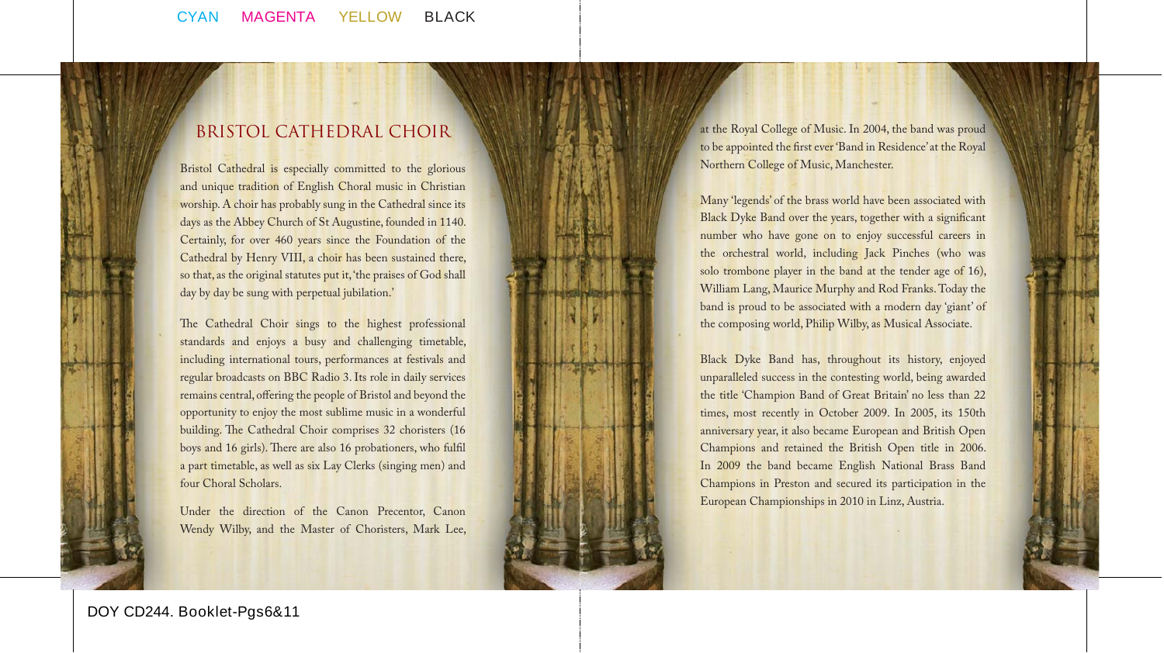## Bristol Cathedral Choir

Bristol Cathedral is especially committed to the glorious and unique tradition of English Choral music in Christian worship. A choir has probably sung in the Cathedral since its days as the Abbey Church of St Augustine, founded in 1140. Certainly, for over 460 years since the Foundation of the Cathedral by Henry VIII, a choir has been sustained there, so that, as the original statutes put it, 'the praises of God shall day by day be sung with perpetual jubilation.'

The Cathedral Choir sings to the highest professional standards and enjoys a busy and challenging timetable, including international tours, performances at festivals and regular broadcasts on BBC Radio 3. Its role in daily services remains central, offering the people of Bristol and beyond the opportunity to enjoy the most sublime music in a wonderful building. The Cathedral Choir comprises 32 choristers (16) boys and 16 girls). There are also 16 probationers, who fulfil a part timetable, as well as six Lay Clerks (singing men) and four Choral Scholars.

Under the direction of the Canon Precentor, Canon Wendy Wilby, and the Master of Choristers, Mark Lee, at the Royal College of Music. In 2004, the band was proud to be appointed the first ever 'Band in Residence' at the Royal Northern College of Music, Manchester.

Many 'legends' of the brass world have been associated with Black Dyke Band over the years, together with a significant number who have gone on to enjoy successful careers in the orchestral world, including Jack Pinches (who was solo trombone player in the band at the tender age of 16), William Lang, Maurice Murphy and Rod Franks. Today the band is proud to be associated with a modern day 'giant' of the composing world, Philip Wilby, as Musical Associate.

Black Dyke Band has, throughout its history, enjoyed unparalleled success in the contesting world, being awarded the title 'Champion Band of Great Britain' no less than 22 times, most recently in October 2009. In 2005, its 150th anniversary year, it also became European and British Open Champions and retained the British Open title in 2006. In 2009 the band became English National Brass Band Champions in Preston and secured its participation in the European Championships in 2010 in Linz, Austria.

**DOY CD244. Booklet-Pgs6&11**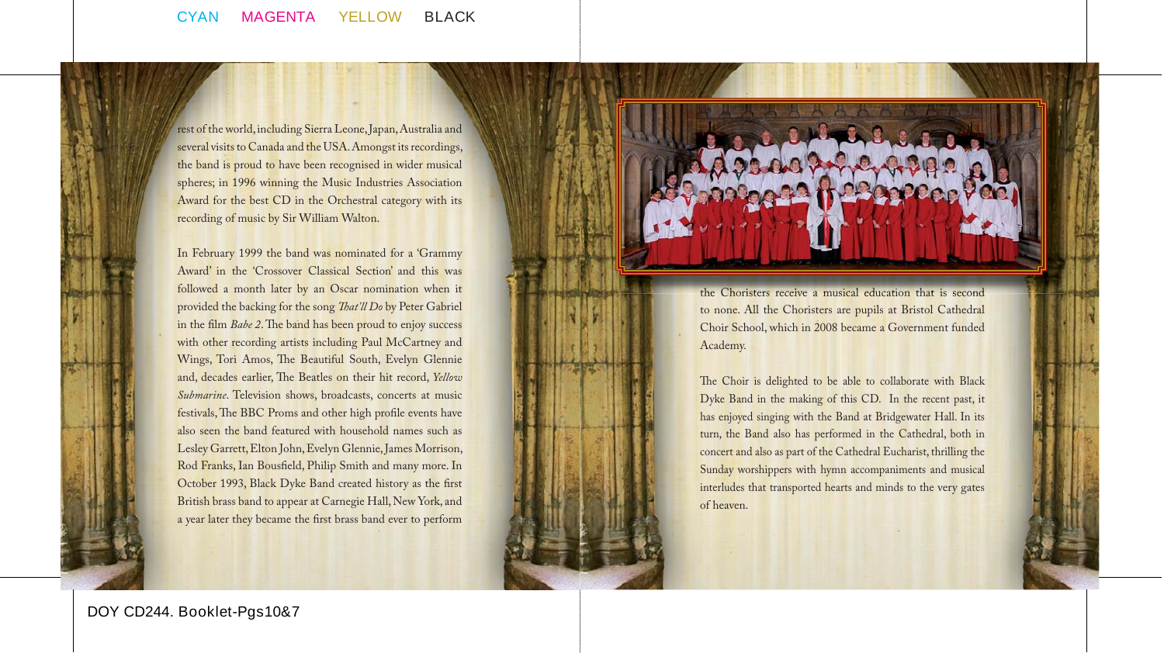

rest of the world, including Sierra Leone, Japan, Australia and several visits to Canada and the USA. Amongst its recordings, the band is proud to have been recognised in wider musical spheres; in 1996 winning the Music Industries Association Award for the best CD in the Orchestral category with its recording of music by Sir William Walton.

In February 1999 the band was nominated for a 'Grammy Award' in the 'Crossover Classical Section' and this was followed a month later by an Oscar nomination when it provided the backing for the song *That'll Do* by Peter Gabriel in the film *Babe 2*. The band has been proud to enjoy success with other recording artists including Paul McCartney and Wings, Tori Amos, The Beautiful South, Evelyn Glennie and, decades earlier, The Beatles on their hit record, *Yellow Submarine*. Television shows, broadcasts, concerts at music festivals, The BBC Proms and other high profile events have also seen the band featured with household names such as Lesley Garrett, Elton John, Evelyn Glennie, James Morrison, Rod Franks, Ian Bousfield, Philip Smith and many more. In October 1993, Black Dyke Band created history as the first British brass band to appear at Carnegie Hall, New York, and a year later they became the first brass band ever to perform



The Choir is delighted to be able to collaborate with Black Dyke Band in the making of this CD. In the recent past, it has enjoyed singing with the Band at Bridgewater Hall. In its turn, the Band also has performed in the Cathedral, both in concert and also as part of the Cathedral Eucharist, thrilling the Sunday worshippers with hymn accompaniments and musical interludes that transported hearts and minds to the very gates of heaven.

**DOY CD244. Booklet-Pgs10&7**